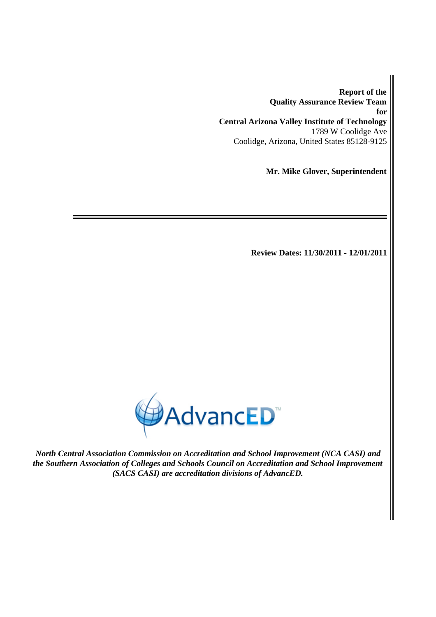**Report of the Quality Assurance Review Team for Central Arizona Valley Institute of Technology** 1789 W Coolidge Ave Coolidge, Arizona, United States 85128-9125

**Mr. Mike Glover, Superintendent**

**Review Dates: 11/30/2011 - 12/01/2011**



*North Central Association Commission on Accreditation and School Improvement (NCA CASI) and the Southern Association of Colleges and Schools Council on Accreditation and School Improvement (SACS CASI) are accreditation divisions of AdvancED.*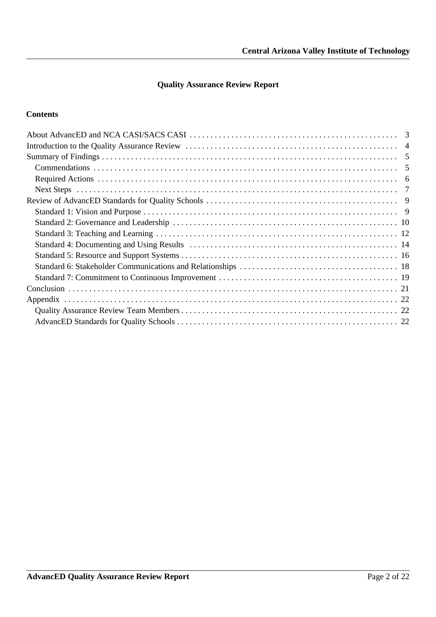### **Quality Assurance Review Report**

#### **Contents**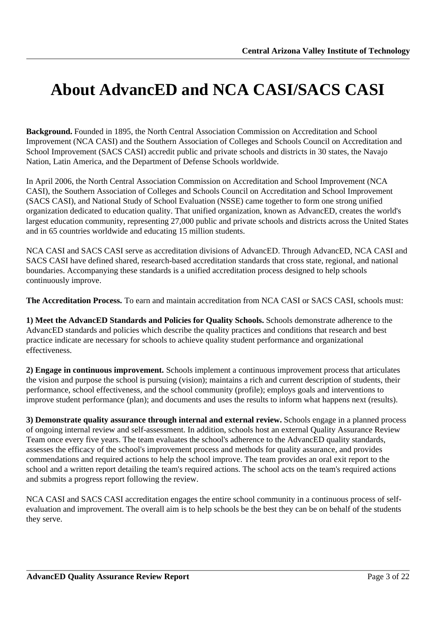# <span id="page-2-0"></span>**About AdvancED and NCA CASI/SACS CASI**

**Background.** Founded in 1895, the North Central Association Commission on Accreditation and School Improvement (NCA CASI) and the Southern Association of Colleges and Schools Council on Accreditation and School Improvement (SACS CASI) accredit public and private schools and districts in 30 states, the Navajo Nation, Latin America, and the Department of Defense Schools worldwide.

In April 2006, the North Central Association Commission on Accreditation and School Improvement (NCA CASI), the Southern Association of Colleges and Schools Council on Accreditation and School Improvement (SACS CASI), and National Study of School Evaluation (NSSE) came together to form one strong unified organization dedicated to education quality. That unified organization, known as AdvancED, creates the world's largest education community, representing 27,000 public and private schools and districts across the United States and in 65 countries worldwide and educating 15 million students.

NCA CASI and SACS CASI serve as accreditation divisions of AdvancED. Through AdvancED, NCA CASI and SACS CASI have defined shared, research-based accreditation standards that cross state, regional, and national boundaries. Accompanying these standards is a unified accreditation process designed to help schools continuously improve.

**The Accreditation Process.** To earn and maintain accreditation from NCA CASI or SACS CASI, schools must:

**1) Meet the AdvancED Standards and Policies for Quality Schools.** Schools demonstrate adherence to the AdvancED standards and policies which describe the quality practices and conditions that research and best practice indicate are necessary for schools to achieve quality student performance and organizational effectiveness.

**2) Engage in continuous improvement.** Schools implement a continuous improvement process that articulates the vision and purpose the school is pursuing (vision); maintains a rich and current description of students, their performance, school effectiveness, and the school community (profile); employs goals and interventions to improve student performance (plan); and documents and uses the results to inform what happens next (results).

**3) Demonstrate quality assurance through internal and external review.** Schools engage in a planned process of ongoing internal review and self-assessment. In addition, schools host an external Quality Assurance Review Team once every five years. The team evaluates the school's adherence to the AdvancED quality standards, assesses the efficacy of the school's improvement process and methods for quality assurance, and provides commendations and required actions to help the school improve. The team provides an oral exit report to the school and a written report detailing the team's required actions. The school acts on the team's required actions and submits a progress report following the review.

NCA CASI and SACS CASI accreditation engages the entire school community in a continuous process of selfevaluation and improvement. The overall aim is to help schools be the best they can be on behalf of the students they serve.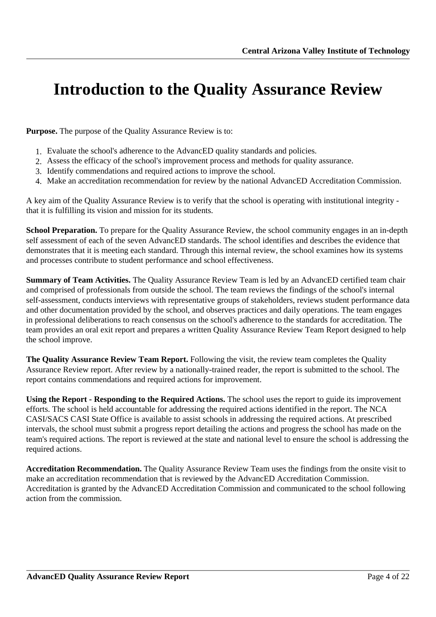# <span id="page-3-0"></span>**Introduction to the Quality Assurance Review**

**Purpose.** The purpose of the Quality Assurance Review is to:

- 1. Evaluate the school's adherence to the AdvancED quality standards and policies.
- 2. Assess the efficacy of the school's improvement process and methods for quality assurance.
- 3. Identify commendations and required actions to improve the school.
- 4. Make an accreditation recommendation for review by the national AdvancED Accreditation Commission.

A key aim of the Quality Assurance Review is to verify that the school is operating with institutional integrity that it is fulfilling its vision and mission for its students.

**School Preparation.** To prepare for the Quality Assurance Review, the school community engages in an in-depth self assessment of each of the seven AdvancED standards. The school identifies and describes the evidence that demonstrates that it is meeting each standard. Through this internal review, the school examines how its systems and processes contribute to student performance and school effectiveness.

**Summary of Team Activities.** The Quality Assurance Review Team is led by an AdvancED certified team chair and comprised of professionals from outside the school. The team reviews the findings of the school's internal self-assessment, conducts interviews with representative groups of stakeholders, reviews student performance data and other documentation provided by the school, and observes practices and daily operations. The team engages in professional deliberations to reach consensus on the school's adherence to the standards for accreditation. The team provides an oral exit report and prepares a written Quality Assurance Review Team Report designed to help the school improve.

**The Quality Assurance Review Team Report.** Following the visit, the review team completes the Quality Assurance Review report. After review by a nationally-trained reader, the report is submitted to the school. The report contains commendations and required actions for improvement.

**Using the Report - Responding to the Required Actions.** The school uses the report to guide its improvement efforts. The school is held accountable for addressing the required actions identified in the report. The NCA CASI/SACS CASI State Office is available to assist schools in addressing the required actions. At prescribed intervals, the school must submit a progress report detailing the actions and progress the school has made on the team's required actions. The report is reviewed at the state and national level to ensure the school is addressing the required actions.

**Accreditation Recommendation.** The Quality Assurance Review Team uses the findings from the onsite visit to make an accreditation recommendation that is reviewed by the AdvancED Accreditation Commission. Accreditation is granted by the AdvancED Accreditation Commission and communicated to the school following action from the commission.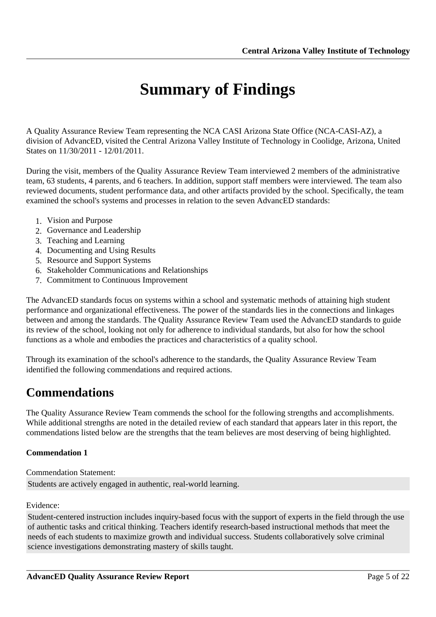# **Summary of Findings**

<span id="page-4-0"></span>A Quality Assurance Review Team representing the NCA CASI Arizona State Office (NCA-CASI-AZ), a division of AdvancED, visited the Central Arizona Valley Institute of Technology in Coolidge, Arizona, United States on 11/30/2011 - 12/01/2011.

During the visit, members of the Quality Assurance Review Team interviewed 2 members of the administrative team, 63 students, 4 parents, and 6 teachers. In addition, support staff members were interviewed. The team also reviewed documents, student performance data, and other artifacts provided by the school. Specifically, the team examined the school's systems and processes in relation to the seven AdvancED standards:

- 1. Vision and Purpose
- 2. Governance and Leadership
- 3. Teaching and Learning
- 4. Documenting and Using Results
- 5. Resource and Support Systems
- 6. Stakeholder Communications and Relationships
- 7. Commitment to Continuous Improvement

The AdvancED standards focus on systems within a school and systematic methods of attaining high student performance and organizational effectiveness. The power of the standards lies in the connections and linkages between and among the standards. The Quality Assurance Review Team used the AdvancED standards to guide its review of the school, looking not only for adherence to individual standards, but also for how the school functions as a whole and embodies the practices and characteristics of a quality school.

Through its examination of the school's adherence to the standards, the Quality Assurance Review Team identified the following commendations and required actions.

### **Commendations**

The Quality Assurance Review Team commends the school for the following strengths and accomplishments. While additional strengths are noted in the detailed review of each standard that appears later in this report, the commendations listed below are the strengths that the team believes are most deserving of being highlighted.

#### **Commendation 1**

Commendation Statement: Students are actively engaged in authentic, real-world learning.

Evidence:

Student-centered instruction includes inquiry-based focus with the support of experts in the field through the use of authentic tasks and critical thinking. Teachers identify research-based instructional methods that meet the needs of each students to maximize growth and individual success. Students collaboratively solve criminal science investigations demonstrating mastery of skills taught.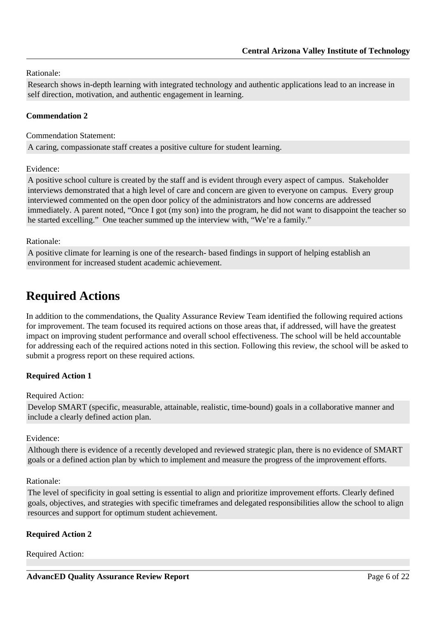<span id="page-5-0"></span>Rationale:

Research shows in-depth learning with integrated technology and authentic applications lead to an increase in self direction, motivation, and authentic engagement in learning.

#### **Commendation 2**

Commendation Statement:

A caring, compassionate staff creates a positive culture for student learning.

Evidence:

A positive school culture is created by the staff and is evident through every aspect of campus. Stakeholder interviews demonstrated that a high level of care and concern are given to everyone on campus. Every group interviewed commented on the open door policy of the administrators and how concerns are addressed immediately. A parent noted, "Once I got (my son) into the program, he did not want to disappoint the teacher so he started excelling." One teacher summed up the interview with, "We're a family."

Rationale:

A positive climate for learning is one of the research- based findings in support of helping establish an environment for increased student academic achievement.

## **Required Actions**

In addition to the commendations, the Quality Assurance Review Team identified the following required actions for improvement. The team focused its required actions on those areas that, if addressed, will have the greatest impact on improving student performance and overall school effectiveness. The school will be held accountable for addressing each of the required actions noted in this section. Following this review, the school will be asked to submit a progress report on these required actions.

#### **Required Action 1**

#### Required Action:

Develop SMART (specific, measurable, attainable, realistic, time-bound) goals in a collaborative manner and include a clearly defined action plan.

Evidence:

Although there is evidence of a recently developed and reviewed strategic plan, there is no evidence of SMART goals or a defined action plan by which to implement and measure the progress of the improvement efforts.

#### Rationale:

The level of specificity in goal setting is essential to align and prioritize improvement efforts. Clearly defined goals, objectives, and strategies with specific timeframes and delegated responsibilities allow the school to align resources and support for optimum student achievement.

#### **Required Action 2**

Required Action: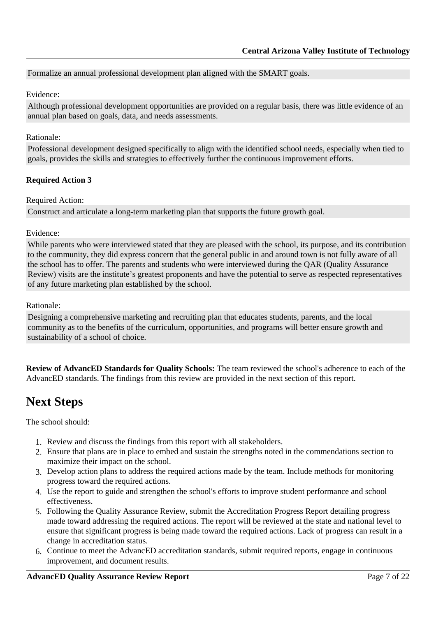#### <span id="page-6-0"></span>Formalize an annual professional development plan aligned with the SMART goals.

#### Evidence:

Although professional development opportunities are provided on a regular basis, there was little evidence of an annual plan based on goals, data, and needs assessments.

#### Rationale:

Professional development designed specifically to align with the identified school needs, especially when tied to goals, provides the skills and strategies to effectively further the continuous improvement efforts.

#### **Required Action 3**

Required Action:

Construct and articulate a long-term marketing plan that supports the future growth goal.

#### Evidence:

While parents who were interviewed stated that they are pleased with the school, its purpose, and its contribution to the community, they did express concern that the general public in and around town is not fully aware of all the school has to offer. The parents and students who were interviewed during the QAR (Quality Assurance Review) visits are the institute's greatest proponents and have the potential to serve as respected representatives of any future marketing plan established by the school.

#### Rationale:

Designing a comprehensive marketing and recruiting plan that educates students, parents, and the local community as to the benefits of the curriculum, opportunities, and programs will better ensure growth and sustainability of a school of choice.

**Review of AdvancED Standards for Quality Schools:** The team reviewed the school's adherence to each of the AdvancED standards. The findings from this review are provided in the next section of this report.

### **Next Steps**

The school should:

- 1. Review and discuss the findings from this report with all stakeholders.
- 2. Ensure that plans are in place to embed and sustain the strengths noted in the commendations section to maximize their impact on the school.
- 3. Develop action plans to address the required actions made by the team. Include methods for monitoring progress toward the required actions.
- 4. Use the report to guide and strengthen the school's efforts to improve student performance and school effectiveness.
- 5. Following the Quality Assurance Review, submit the Accreditation Progress Report detailing progress made toward addressing the required actions. The report will be reviewed at the state and national level to ensure that significant progress is being made toward the required actions. Lack of progress can result in a change in accreditation status.
- 6. Continue to meet the AdvancED accreditation standards, submit required reports, engage in continuous improvement, and document results.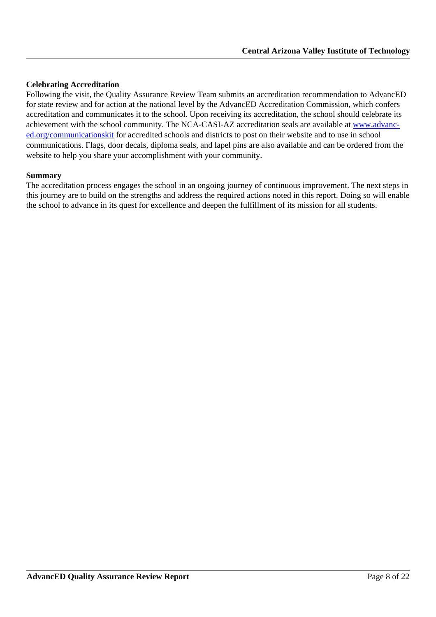#### **Celebrating Accreditation**

Following the visit, the Quality Assurance Review Team submits an accreditation recommendation to AdvancED for state review and for action at the national level by the AdvancED Accreditation Commission, which confers accreditation and communicates it to the school. Upon receiving its accreditation, the school should celebrate its achievement with the school community. The NCA-CASI-AZ accreditation seals are available at [www.advanc](http://www.advanc-ed.org/communicationskit)[ed.org/communicationskit](http://www.advanc-ed.org/communicationskit) for accredited schools and districts to post on their website and to use in school communications. Flags, door decals, diploma seals, and lapel pins are also available and can be ordered from the website to help you share your accomplishment with your community.

#### **Summary**

The accreditation process engages the school in an ongoing journey of continuous improvement. The next steps in this journey are to build on the strengths and address the required actions noted in this report. Doing so will enable the school to advance in its quest for excellence and deepen the fulfillment of its mission for all students.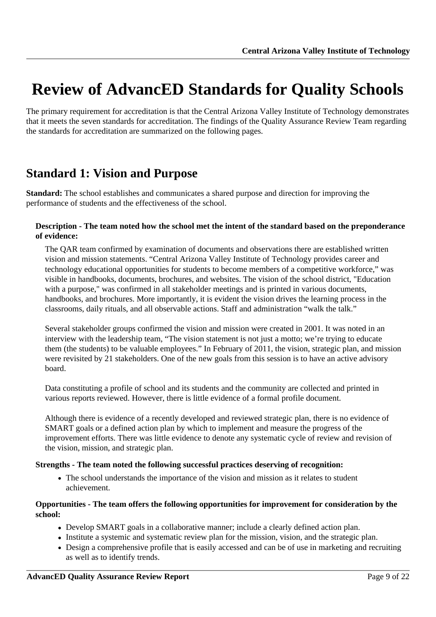# <span id="page-8-0"></span>**Review of AdvancED Standards for Quality Schools**

The primary requirement for accreditation is that the Central Arizona Valley Institute of Technology demonstrates that it meets the seven standards for accreditation. The findings of the Quality Assurance Review Team regarding the standards for accreditation are summarized on the following pages.

### **Standard 1: Vision and Purpose**

**Standard:** The school establishes and communicates a shared purpose and direction for improving the performance of students and the effectiveness of the school.

#### **Description - The team noted how the school met the intent of the standard based on the preponderance of evidence:**

The QAR team confirmed by examination of documents and observations there are established written vision and mission statements. "Central Arizona Valley Institute of Technology provides career and technology educational opportunities for students to become members of a competitive workforce," was visible in handbooks, documents, brochures, and websites. The vision of the school district, "Education with a purpose," was confirmed in all stakeholder meetings and is printed in various documents, handbooks, and brochures. More importantly, it is evident the vision drives the learning process in the classrooms, daily rituals, and all observable actions. Staff and administration "walk the talk."

Several stakeholder groups confirmed the vision and mission were created in 2001. It was noted in an interview with the leadership team, "The vision statement is not just a motto; we're trying to educate them (the students) to be valuable employees." In February of 2011, the vision, strategic plan, and mission were revisited by 21 stakeholders. One of the new goals from this session is to have an active advisory board.

Data constituting a profile of school and its students and the community are collected and printed in various reports reviewed. However, there is little evidence of a formal profile document.

Although there is evidence of a recently developed and reviewed strategic plan, there is no evidence of SMART goals or a defined action plan by which to implement and measure the progress of the improvement efforts. There was little evidence to denote any systematic cycle of review and revision of the vision, mission, and strategic plan.

#### **Strengths - The team noted the following successful practices deserving of recognition:**

• The school understands the importance of the vision and mission as it relates to student achievement.

#### **Opportunities - The team offers the following opportunities for improvement for consideration by the school:**

- Develop SMART goals in a collaborative manner; include a clearly defined action plan.
- Institute a systemic and systematic review plan for the mission, vision, and the strategic plan.
- Design a comprehensive profile that is easily accessed and can be of use in marketing and recruiting as well as to identify trends.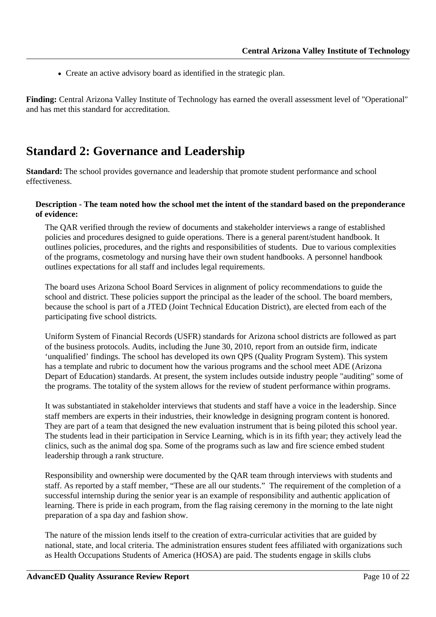<span id="page-9-0"></span>Create an active advisory board as identified in the strategic plan.

Finding: Central Arizona Valley Institute of Technology has earned the overall assessment level of "Operational" and has met this standard for accreditation.

### **Standard 2: Governance and Leadership**

**Standard:** The school provides governance and leadership that promote student performance and school effectiveness.

#### **Description - The team noted how the school met the intent of the standard based on the preponderance of evidence:**

The QAR verified through the review of documents and stakeholder interviews a range of established policies and procedures designed to guide operations. There is a general parent/student handbook. It outlines policies, procedures, and the rights and responsibilities of students. Due to various complexities of the programs, cosmetology and nursing have their own student handbooks. A personnel handbook outlines expectations for all staff and includes legal requirements.

The board uses Arizona School Board Services in alignment of policy recommendations to guide the school and district. These policies support the principal as the leader of the school. The board members, because the school is part of a JTED (Joint Technical Education District), are elected from each of the participating five school districts.

Uniform System of Financial Records (USFR) standards for Arizona school districts are followed as part of the business protocols. Audits, including the June 30, 2010, report from an outside firm, indicate 'unqualified' findings. The school has developed its own QPS (Quality Program System). This system has a template and rubric to document how the various programs and the school meet ADE (Arizona Depart of Education) standards. At present, the system includes outside industry people "auditing" some of the programs. The totality of the system allows for the review of student performance within programs.

It was substantiated in stakeholder interviews that students and staff have a voice in the leadership. Since staff members are experts in their industries, their knowledge in designing program content is honored. They are part of a team that designed the new evaluation instrument that is being piloted this school year. The students lead in their participation in Service Learning, which is in its fifth year; they actively lead the clinics, such as the animal dog spa. Some of the programs such as law and fire science embed student leadership through a rank structure.

Responsibility and ownership were documented by the QAR team through interviews with students and staff. As reported by a staff member, "These are all our students." The requirement of the completion of a successful internship during the senior year is an example of responsibility and authentic application of learning. There is pride in each program, from the flag raising ceremony in the morning to the late night preparation of a spa day and fashion show.

The nature of the mission lends itself to the creation of extra-curricular activities that are guided by national, state, and local criteria. The administration ensures student fees affiliated with organizations such as Health Occupations Students of America (HOSA) are paid. The students engage in skills clubs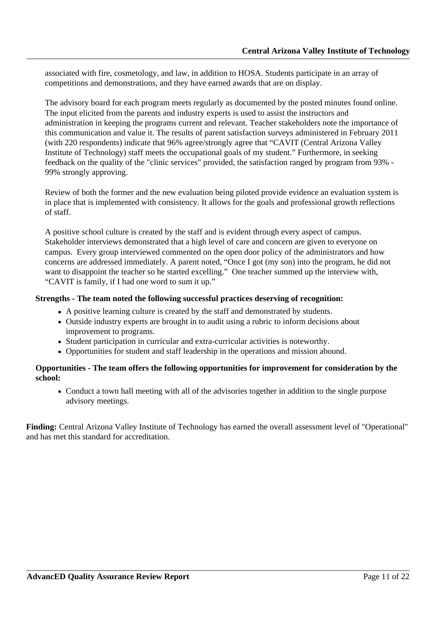associated with fire, cosmetology, and law, in addition to HOSA. Students participate in an array of competitions and demonstrations, and they have earned awards that are on display.

The advisory board for each program meets regularly as documented by the posted minutes found online. The input elicited from the parents and industry experts is used to assist the instructors and administration in keeping the programs current and relevant. Teacher stakeholders note the importance of this communication and value it. The results of parent satisfaction surveys administered in February 2011 (with 220 respondents) indicate that 96% agree/strongly agree that "CAVIT (Central Arizona Valley Institute of Technology) staff meets the occupational goals of my student." Furthermore, in seeking feedback on the quality of the "clinic services" provided, the satisfaction ranged by program from 93% - 99% strongly approving.

Review of both the former and the new evaluation being piloted provide evidence an evaluation system is in place that is implemented with consistency. It allows for the goals and professional growth reflections of staff.

A positive school culture is created by the staff and is evident through every aspect of campus. Stakeholder interviews demonstrated that a high level of care and concern are given to everyone on campus. Every group interviewed commented on the open door policy of the administrators and how concerns are addressed immediately. A parent noted, "Once I got (my son) into the program, he did not want to disappoint the teacher so he started excelling." One teacher summed up the interview with, "CAVIT is family, if I had one word to sum it up."

#### **Strengths - The team noted the following successful practices deserving of recognition:**

- A positive learning culture is created by the staff and demonstrated by students.
- Outside industry experts are brought in to audit using a rubric to inform decisions about improvement to programs.
- Student participation in curricular and extra-curricular activities is noteworthy.
- Opportunities for student and staff leadership in the operations and mission abound.

#### **Opportunities - The team offers the following opportunities for improvement for consideration by the school:**

Conduct a town hall meeting with all of the advisories together in addition to the single purpose advisory meetings.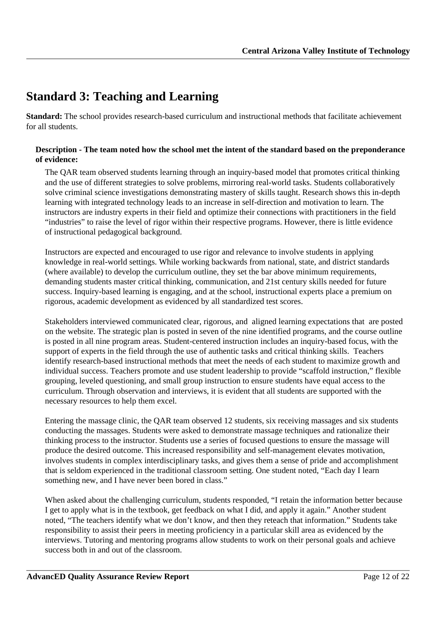## <span id="page-11-0"></span>**Standard 3: Teaching and Learning**

**Standard:** The school provides research-based curriculum and instructional methods that facilitate achievement for all students.

#### **Description - The team noted how the school met the intent of the standard based on the preponderance of evidence:**

The QAR team observed students learning through an inquiry-based model that promotes critical thinking and the use of different strategies to solve problems, mirroring real-world tasks. Students collaboratively solve criminal science investigations demonstrating mastery of skills taught. Research shows this in-depth learning with integrated technology leads to an increase in self-direction and motivation to learn. The instructors are industry experts in their field and optimize their connections with practitioners in the field "industries" to raise the level of rigor within their respective programs. However, there is little evidence of instructional pedagogical background.

Instructors are expected and encouraged to use rigor and relevance to involve students in applying knowledge in real-world settings. While working backwards from national, state, and district standards (where available) to develop the curriculum outline, they set the bar above minimum requirements, demanding students master critical thinking, communication, and 21st century skills needed for future success. Inquiry-based learning is engaging, and at the school, instructional experts place a premium on rigorous, academic development as evidenced by all standardized test scores.

Stakeholders interviewed communicated clear, rigorous, and aligned learning expectations that are posted on the website. The strategic plan is posted in seven of the nine identified programs, and the course outline is posted in all nine program areas. Student-centered instruction includes an inquiry-based focus, with the support of experts in the field through the use of authentic tasks and critical thinking skills. Teachers identify research-based instructional methods that meet the needs of each student to maximize growth and individual success. Teachers promote and use student leadership to provide "scaffold instruction," flexible grouping, leveled questioning, and small group instruction to ensure students have equal access to the curriculum. Through observation and interviews, it is evident that all students are supported with the necessary resources to help them excel.

Entering the massage clinic, the QAR team observed 12 students, six receiving massages and six students conducting the massages. Students were asked to demonstrate massage techniques and rationalize their thinking process to the instructor. Students use a series of focused questions to ensure the massage will produce the desired outcome. This increased responsibility and self-management elevates motivation, involves students in complex interdisciplinary tasks, and gives them a sense of pride and accomplishment that is seldom experienced in the traditional classroom setting. One student noted, "Each day I learn something new, and I have never been bored in class."

When asked about the challenging curriculum, students responded, "I retain the information better because I get to apply what is in the textbook, get feedback on what I did, and apply it again." Another student noted, "The teachers identify what we don't know, and then they reteach that information." Students take responsibility to assist their peers in meeting proficiency in a particular skill area as evidenced by the interviews. Tutoring and mentoring programs allow students to work on their personal goals and achieve success both in and out of the classroom.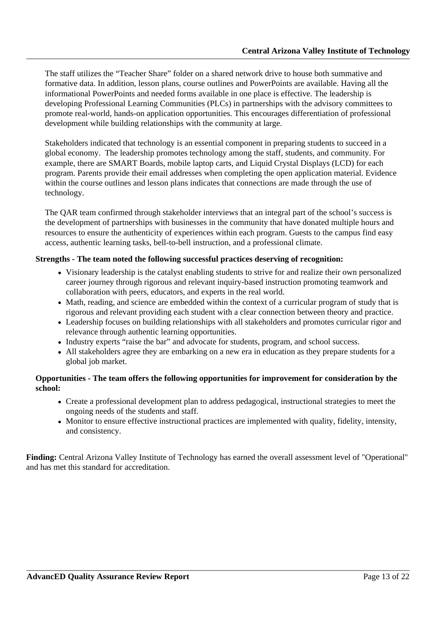The staff utilizes the "Teacher Share" folder on a shared network drive to house both summative and formative data. In addition, lesson plans, course outlines and PowerPoints are available. Having all the informational PowerPoints and needed forms available in one place is effective. The leadership is developing Professional Learning Communities (PLCs) in partnerships with the advisory committees to promote real-world, hands-on application opportunities. This encourages differentiation of professional development while building relationships with the community at large.

Stakeholders indicated that technology is an essential component in preparing students to succeed in a global economy. The leadership promotes technology among the staff, students, and community. For example, there are SMART Boards, mobile laptop carts, and Liquid Crystal Displays (LCD) for each program. Parents provide their email addresses when completing the open application material. Evidence within the course outlines and lesson plans indicates that connections are made through the use of technology.

The QAR team confirmed through stakeholder interviews that an integral part of the school's success is the development of partnerships with businesses in the community that have donated multiple hours and resources to ensure the authenticity of experiences within each program. Guests to the campus find easy access, authentic learning tasks, bell-to-bell instruction, and a professional climate.

#### **Strengths - The team noted the following successful practices deserving of recognition:**

- Visionary leadership is the catalyst enabling students to strive for and realize their own personalized career journey through rigorous and relevant inquiry-based instruction promoting teamwork and collaboration with peers, educators, and experts in the real world.
- Math, reading, and science are embedded within the context of a curricular program of study that is rigorous and relevant providing each student with a clear connection between theory and practice.
- Leadership focuses on building relationships with all stakeholders and promotes curricular rigor and relevance through authentic learning opportunities.
- Industry experts "raise the bar" and advocate for students, program, and school success.
- All stakeholders agree they are embarking on a new era in education as they prepare students for a global job market.

#### **Opportunities - The team offers the following opportunities for improvement for consideration by the school:**

- Create a professional development plan to address pedagogical, instructional strategies to meet the ongoing needs of the students and staff.
- Monitor to ensure effective instructional practices are implemented with quality, fidelity, intensity, and consistency.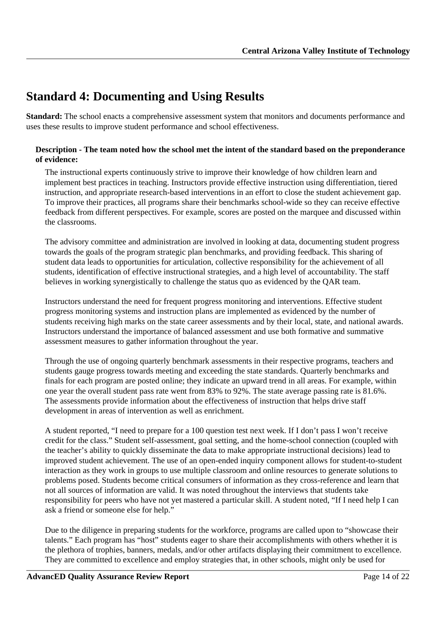## <span id="page-13-0"></span>**Standard 4: Documenting and Using Results**

**Standard:** The school enacts a comprehensive assessment system that monitors and documents performance and uses these results to improve student performance and school effectiveness.

#### **Description - The team noted how the school met the intent of the standard based on the preponderance of evidence:**

The instructional experts continuously strive to improve their knowledge of how children learn and implement best practices in teaching. Instructors provide effective instruction using differentiation, tiered instruction, and appropriate research-based interventions in an effort to close the student achievement gap. To improve their practices, all programs share their benchmarks school-wide so they can receive effective feedback from different perspectives. For example, scores are posted on the marquee and discussed within the classrooms.

The advisory committee and administration are involved in looking at data, documenting student progress towards the goals of the program strategic plan benchmarks, and providing feedback. This sharing of student data leads to opportunities for articulation, collective responsibility for the achievement of all students, identification of effective instructional strategies, and a high level of accountability. The staff believes in working synergistically to challenge the status quo as evidenced by the QAR team.

Instructors understand the need for frequent progress monitoring and interventions. Effective student progress monitoring systems and instruction plans are implemented as evidenced by the number of students receiving high marks on the state career assessments and by their local, state, and national awards. Instructors understand the importance of balanced assessment and use both formative and summative assessment measures to gather information throughout the year.

Through the use of ongoing quarterly benchmark assessments in their respective programs, teachers and students gauge progress towards meeting and exceeding the state standards. Quarterly benchmarks and finals for each program are posted online; they indicate an upward trend in all areas. For example, within one year the overall student pass rate went from 83% to 92%. The state average passing rate is 81.6%. The assessments provide information about the effectiveness of instruction that helps drive staff development in areas of intervention as well as enrichment.

A student reported, "I need to prepare for a 100 question test next week. If I don't pass I won't receive credit for the class." Student self-assessment, goal setting, and the home-school connection (coupled with the teacher's ability to quickly disseminate the data to make appropriate instructional decisions) lead to improved student achievement. The use of an open-ended inquiry component allows for student-to-student interaction as they work in groups to use multiple classroom and online resources to generate solutions to problems posed. Students become critical consumers of information as they cross-reference and learn that not all sources of information are valid. It was noted throughout the interviews that students take responsibility for peers who have not yet mastered a particular skill. A student noted, "If I need help I can ask a friend or someone else for help."

Due to the diligence in preparing students for the workforce, programs are called upon to "showcase their talents." Each program has "host" students eager to share their accomplishments with others whether it is the plethora of trophies, banners, medals, and/or other artifacts displaying their commitment to excellence. They are committed to excellence and employ strategies that, in other schools, might only be used for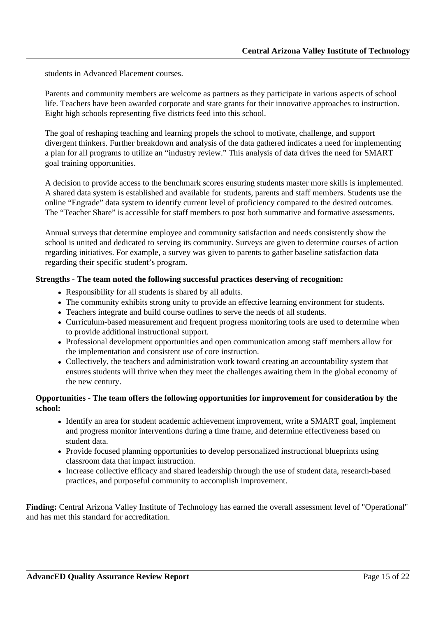students in Advanced Placement courses.

Parents and community members are welcome as partners as they participate in various aspects of school life. Teachers have been awarded corporate and state grants for their innovative approaches to instruction. Eight high schools representing five districts feed into this school.

The goal of reshaping teaching and learning propels the school to motivate, challenge, and support divergent thinkers. Further breakdown and analysis of the data gathered indicates a need for implementing a plan for all programs to utilize an "industry review." This analysis of data drives the need for SMART goal training opportunities.

A decision to provide access to the benchmark scores ensuring students master more skills is implemented. A shared data system is established and available for students, parents and staff members. Students use the online "Engrade" data system to identify current level of proficiency compared to the desired outcomes. The "Teacher Share" is accessible for staff members to post both summative and formative assessments.

Annual surveys that determine employee and community satisfaction and needs consistently show the school is united and dedicated to serving its community. Surveys are given to determine courses of action regarding initiatives. For example, a survey was given to parents to gather baseline satisfaction data regarding their specific student's program.

#### **Strengths - The team noted the following successful practices deserving of recognition:**

- Responsibility for all students is shared by all adults.
- The community exhibits strong unity to provide an effective learning environment for students.
- Teachers integrate and build course outlines to serve the needs of all students.
- Curriculum-based measurement and frequent progress monitoring tools are used to determine when to provide additional instructional support.
- Professional development opportunities and open communication among staff members allow for the implementation and consistent use of core instruction.
- Collectively, the teachers and administration work toward creating an accountability system that ensures students will thrive when they meet the challenges awaiting them in the global economy of the new century.

#### **Opportunities - The team offers the following opportunities for improvement for consideration by the school:**

- Identify an area for student academic achievement improvement, write a SMART goal, implement and progress monitor interventions during a time frame, and determine effectiveness based on student data.
- Provide focused planning opportunities to develop personalized instructional blueprints using classroom data that impact instruction.
- Increase collective efficacy and shared leadership through the use of student data, research-based practices, and purposeful community to accomplish improvement.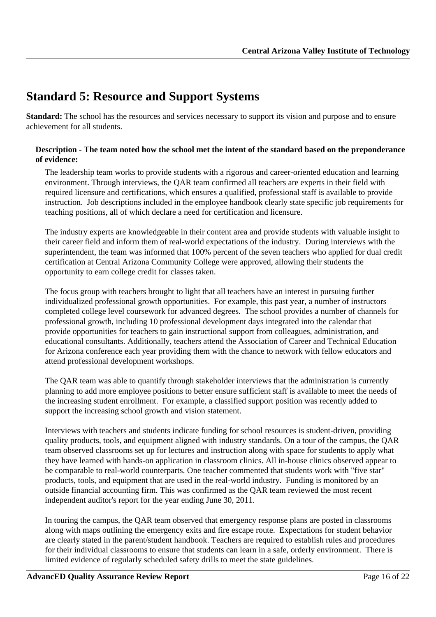## <span id="page-15-0"></span>**Standard 5: Resource and Support Systems**

**Standard:** The school has the resources and services necessary to support its vision and purpose and to ensure achievement for all students.

#### **Description - The team noted how the school met the intent of the standard based on the preponderance of evidence:**

The leadership team works to provide students with a rigorous and career-oriented education and learning environment. Through interviews, the QAR team confirmed all teachers are experts in their field with required licensure and certifications, which ensures a qualified, professional staff is available to provide instruction. Job descriptions included in the employee handbook clearly state specific job requirements for teaching positions, all of which declare a need for certification and licensure.

The industry experts are knowledgeable in their content area and provide students with valuable insight to their career field and inform them of real-world expectations of the industry. During interviews with the superintendent, the team was informed that 100% percent of the seven teachers who applied for dual credit certification at Central Arizona Community College were approved, allowing their students the opportunity to earn college credit for classes taken.

The focus group with teachers brought to light that all teachers have an interest in pursuing further individualized professional growth opportunities. For example, this past year, a number of instructors completed college level coursework for advanced degrees. The school provides a number of channels for professional growth, including 10 professional development days integrated into the calendar that provide opportunities for teachers to gain instructional support from colleagues, administration, and educational consultants. Additionally, teachers attend the Association of Career and Technical Education for Arizona conference each year providing them with the chance to network with fellow educators and attend professional development workshops.

The QAR team was able to quantify through stakeholder interviews that the administration is currently planning to add more employee positions to better ensure sufficient staff is available to meet the needs of the increasing student enrollment. For example, a classified support position was recently added to support the increasing school growth and vision statement.

Interviews with teachers and students indicate funding for school resources is student-driven, providing quality products, tools, and equipment aligned with industry standards. On a tour of the campus, the QAR team observed classrooms set up for lectures and instruction along with space for students to apply what they have learned with hands-on application in classroom clinics. All in-house clinics observed appear to be comparable to real-world counterparts. One teacher commented that students work with "five star" products, tools, and equipment that are used in the real-world industry. Funding is monitored by an outside financial accounting firm. This was confirmed as the QAR team reviewed the most recent independent auditor's report for the year ending June 30, 2011.

In touring the campus, the QAR team observed that emergency response plans are posted in classrooms along with maps outlining the emergency exits and fire escape route. Expectations for student behavior are clearly stated in the parent/student handbook. Teachers are required to establish rules and procedures for their individual classrooms to ensure that students can learn in a safe, orderly environment. There is limited evidence of regularly scheduled safety drills to meet the state guidelines.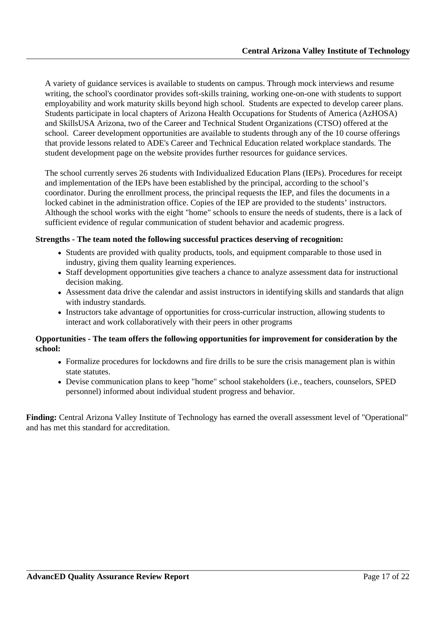A variety of guidance services is available to students on campus. Through mock interviews and resume writing, the school's coordinator provides soft-skills training, working one-on-one with students to support employability and work maturity skills beyond high school. Students are expected to develop career plans. Students participate in local chapters of Arizona Health Occupations for Students of America (AzHOSA) and SkillsUSA Arizona, two of the Career and Technical Student Organizations (CTSO) offered at the school. Career development opportunities are available to students through any of the 10 course offerings that provide lessons related to ADE's Career and Technical Education related workplace standards. The student development page on the website provides further resources for guidance services.

The school currently serves 26 students with Individualized Education Plans (IEPs). Procedures for receipt and implementation of the IEPs have been established by the principal, according to the school's coordinator. During the enrollment process, the principal requests the IEP, and files the documents in a locked cabinet in the administration office. Copies of the IEP are provided to the students' instructors. Although the school works with the eight "home" schools to ensure the needs of students, there is a lack of sufficient evidence of regular communication of student behavior and academic progress.

#### **Strengths - The team noted the following successful practices deserving of recognition:**

- Students are provided with quality products, tools, and equipment comparable to those used in industry, giving them quality learning experiences.
- Staff development opportunities give teachers a chance to analyze assessment data for instructional decision making.
- Assessment data drive the calendar and assist instructors in identifying skills and standards that align with industry standards.
- Instructors take advantage of opportunities for cross-curricular instruction, allowing students to interact and work collaboratively with their peers in other programs

#### **Opportunities - The team offers the following opportunities for improvement for consideration by the school:**

- Formalize procedures for lockdowns and fire drills to be sure the crisis management plan is within state statutes.
- Devise communication plans to keep "home" school stakeholders (i.e., teachers, counselors, SPED personnel) informed about individual student progress and behavior.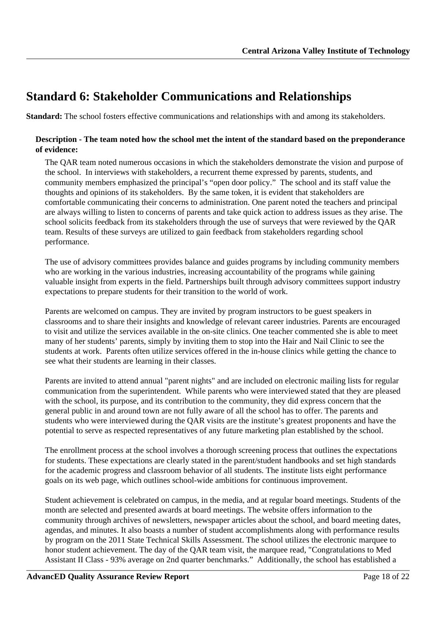## <span id="page-17-0"></span>**Standard 6: Stakeholder Communications and Relationships**

**Standard:** The school fosters effective communications and relationships with and among its stakeholders.

#### **Description - The team noted how the school met the intent of the standard based on the preponderance of evidence:**

The QAR team noted numerous occasions in which the stakeholders demonstrate the vision and purpose of the school. In interviews with stakeholders, a recurrent theme expressed by parents, students, and community members emphasized the principal's "open door policy." The school and its staff value the thoughts and opinions of its stakeholders. By the same token, it is evident that stakeholders are comfortable communicating their concerns to administration. One parent noted the teachers and principal are always willing to listen to concerns of parents and take quick action to address issues as they arise. The school solicits feedback from its stakeholders through the use of surveys that were reviewed by the QAR team. Results of these surveys are utilized to gain feedback from stakeholders regarding school performance.

The use of advisory committees provides balance and guides programs by including community members who are working in the various industries, increasing accountability of the programs while gaining valuable insight from experts in the field. Partnerships built through advisory committees support industry expectations to prepare students for their transition to the world of work.

Parents are welcomed on campus. They are invited by program instructors to be guest speakers in classrooms and to share their insights and knowledge of relevant career industries. Parents are encouraged to visit and utilize the services available in the on-site clinics. One teacher commented she is able to meet many of her students' parents, simply by inviting them to stop into the Hair and Nail Clinic to see the students at work. Parents often utilize services offered in the in-house clinics while getting the chance to see what their students are learning in their classes.

Parents are invited to attend annual "parent nights" and are included on electronic mailing lists for regular communication from the superintendent. While parents who were interviewed stated that they are pleased with the school, its purpose, and its contribution to the community, they did express concern that the general public in and around town are not fully aware of all the school has to offer. The parents and students who were interviewed during the QAR visits are the institute's greatest proponents and have the potential to serve as respected representatives of any future marketing plan established by the school.

The enrollment process at the school involves a thorough screening process that outlines the expectations for students. These expectations are clearly stated in the parent/student handbooks and set high standards for the academic progress and classroom behavior of all students. The institute lists eight performance goals on its web page, which outlines school-wide ambitions for continuous improvement.

Student achievement is celebrated on campus, in the media, and at regular board meetings. Students of the month are selected and presented awards at board meetings. The website offers information to the community through archives of newsletters, newspaper articles about the school, and board meeting dates, agendas, and minutes. It also boasts a number of student accomplishments along with performance results by program on the 2011 State Technical Skills Assessment. The school utilizes the electronic marquee to honor student achievement. The day of the QAR team visit, the marquee read, "Congratulations to Med Assistant II Class - 93% average on 2nd quarter benchmarks." Additionally, the school has established a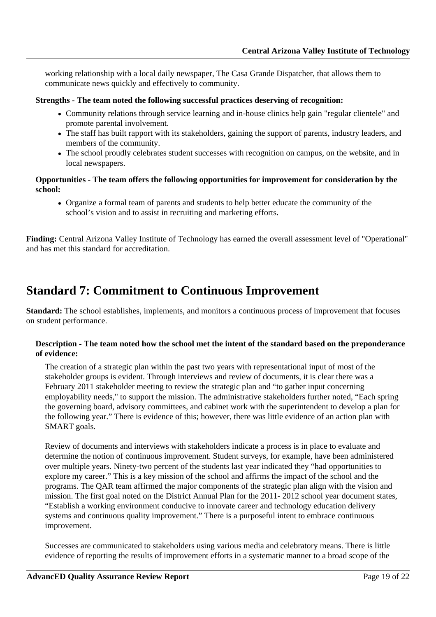<span id="page-18-0"></span>working relationship with a local daily newspaper, The Casa Grande Dispatcher, that allows them to communicate news quickly and effectively to community.

#### **Strengths - The team noted the following successful practices deserving of recognition:**

- Community relations through service learning and in-house clinics help gain "regular clientele" and promote parental involvement.
- The staff has built rapport with its stakeholders, gaining the support of parents, industry leaders, and members of the community.
- The school proudly celebrates student successes with recognition on campus, on the website, and in local newspapers.

#### **Opportunities - The team offers the following opportunities for improvement for consideration by the school:**

Organize a formal team of parents and students to help better educate the community of the school's vision and to assist in recruiting and marketing efforts.

Finding: Central Arizona Valley Institute of Technology has earned the overall assessment level of "Operational" and has met this standard for accreditation.

### **Standard 7: Commitment to Continuous Improvement**

**Standard:** The school establishes, implements, and monitors a continuous process of improvement that focuses on student performance.

#### **Description - The team noted how the school met the intent of the standard based on the preponderance of evidence:**

The creation of a strategic plan within the past two years with representational input of most of the stakeholder groups is evident. Through interviews and review of documents, it is clear there was a February 2011 stakeholder meeting to review the strategic plan and "to gather input concerning employability needs," to support the mission. The administrative stakeholders further noted, "Each spring the governing board, advisory committees, and cabinet work with the superintendent to develop a plan for the following year." There is evidence of this; however, there was little evidence of an action plan with SMART goals.

Review of documents and interviews with stakeholders indicate a process is in place to evaluate and determine the notion of continuous improvement. Student surveys, for example, have been administered over multiple years. Ninety-two percent of the students last year indicated they "had opportunities to explore my career." This is a key mission of the school and affirms the impact of the school and the programs. The QAR team affirmed the major components of the strategic plan align with the vision and mission. The first goal noted on the District Annual Plan for the 2011- 2012 school year document states, "Establish a working environment conducive to innovate career and technology education delivery systems and continuous quality improvement." There is a purposeful intent to embrace continuous improvement.

Successes are communicated to stakeholders using various media and celebratory means. There is little evidence of reporting the results of improvement efforts in a systematic manner to a broad scope of the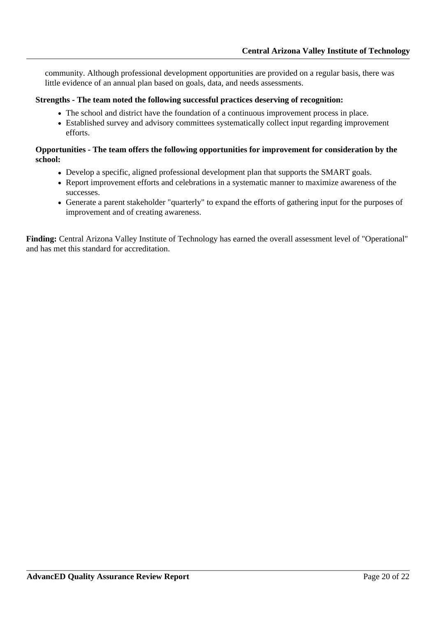community. Although professional development opportunities are provided on a regular basis, there was little evidence of an annual plan based on goals, data, and needs assessments.

#### **Strengths - The team noted the following successful practices deserving of recognition:**

- The school and district have the foundation of a continuous improvement process in place.
- Established survey and advisory committees systematically collect input regarding improvement efforts.

#### **Opportunities - The team offers the following opportunities for improvement for consideration by the school:**

- Develop a specific, aligned professional development plan that supports the SMART goals.
- Report improvement efforts and celebrations in a systematic manner to maximize awareness of the successes.
- Generate a parent stakeholder "quarterly" to expand the efforts of gathering input for the purposes of improvement and of creating awareness.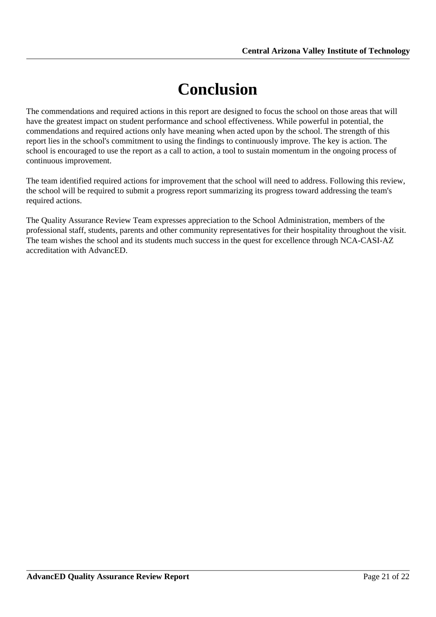# **Conclusion**

<span id="page-20-0"></span>The commendations and required actions in this report are designed to focus the school on those areas that will have the greatest impact on student performance and school effectiveness. While powerful in potential, the commendations and required actions only have meaning when acted upon by the school. The strength of this report lies in the school's commitment to using the findings to continuously improve. The key is action. The school is encouraged to use the report as a call to action, a tool to sustain momentum in the ongoing process of continuous improvement.

The team identified required actions for improvement that the school will need to address. Following this review, the school will be required to submit a progress report summarizing its progress toward addressing the team's required actions.

The Quality Assurance Review Team expresses appreciation to the School Administration, members of the professional staff, students, parents and other community representatives for their hospitality throughout the visit. The team wishes the school and its students much success in the quest for excellence through NCA-CASI-AZ accreditation with AdvancED.